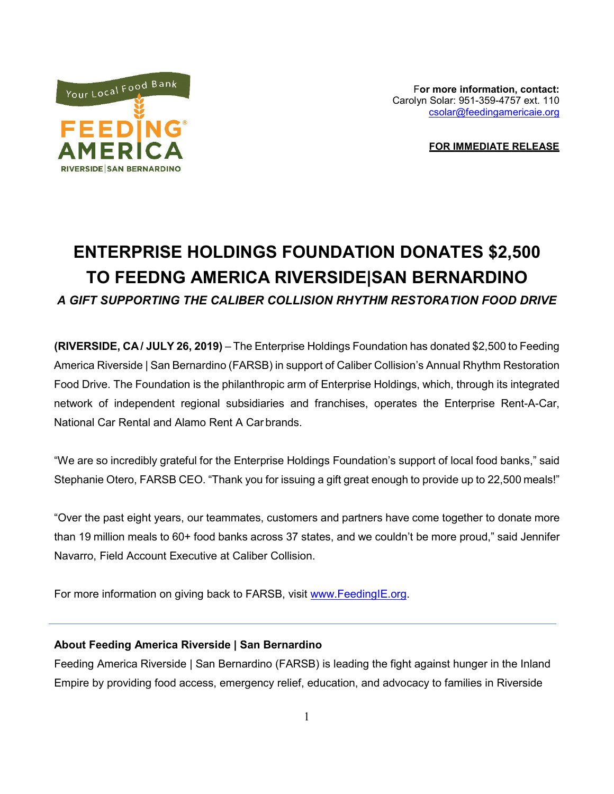

F**or more information, contact:** Carolyn Solar: 951-359-4757 ext. 110 [csolar@feedingamericaie.org](mailto:csolar@feedingamericaie.org)

**FOR IMMEDIATE RELEASE**

## **ENTERPRISE HOLDINGS FOUNDATION DONATES \$2,500 TO FEEDNG AMERICA RIVERSIDE|SAN BERNARDINO** *A GIFT SUPPORTING THE CALIBER COLLISION RHYTHM RESTORATION FOOD DRIVE*

**(RIVERSIDE, CA / JULY 26, 2019)** – The Enterprise Holdings Foundation has donated \$2,500 to Feeding America Riverside | San Bernardino (FARSB) in support of Caliber Collision's Annual Rhythm Restoration Food Drive. The Foundation is the philanthropic arm of Enterprise Holdings, which, through its integrated network of independent regional subsidiaries and franchises, operates the Enterprise Rent-A-Car, National Car Rental and Alamo Rent A Car brands.

"We are so incredibly grateful for the Enterprise Holdings Foundation's support of local food banks," said Stephanie Otero, FARSB CEO. "Thank you for issuing a gift great enough to provide up to 22,500 meals!"

"Over the past eight years, our teammates, customers and partners have come together to donate more than 19 million meals to 60+ food banks across 37 states, and we couldn't be more proud," said Jennifer Navarro, Field Account Executive at Caliber Collision.

For more information on giving back to FARSB, visit [www.FeedingIE.org.](http://www.feedingie.org/)

## **About Feeding America Riverside | San Bernardino**

Feeding America Riverside | San Bernardino (FARSB) is leading the fight against hunger in the Inland Empire by providing food access, emergency relief, education, and advocacy to families in Riverside